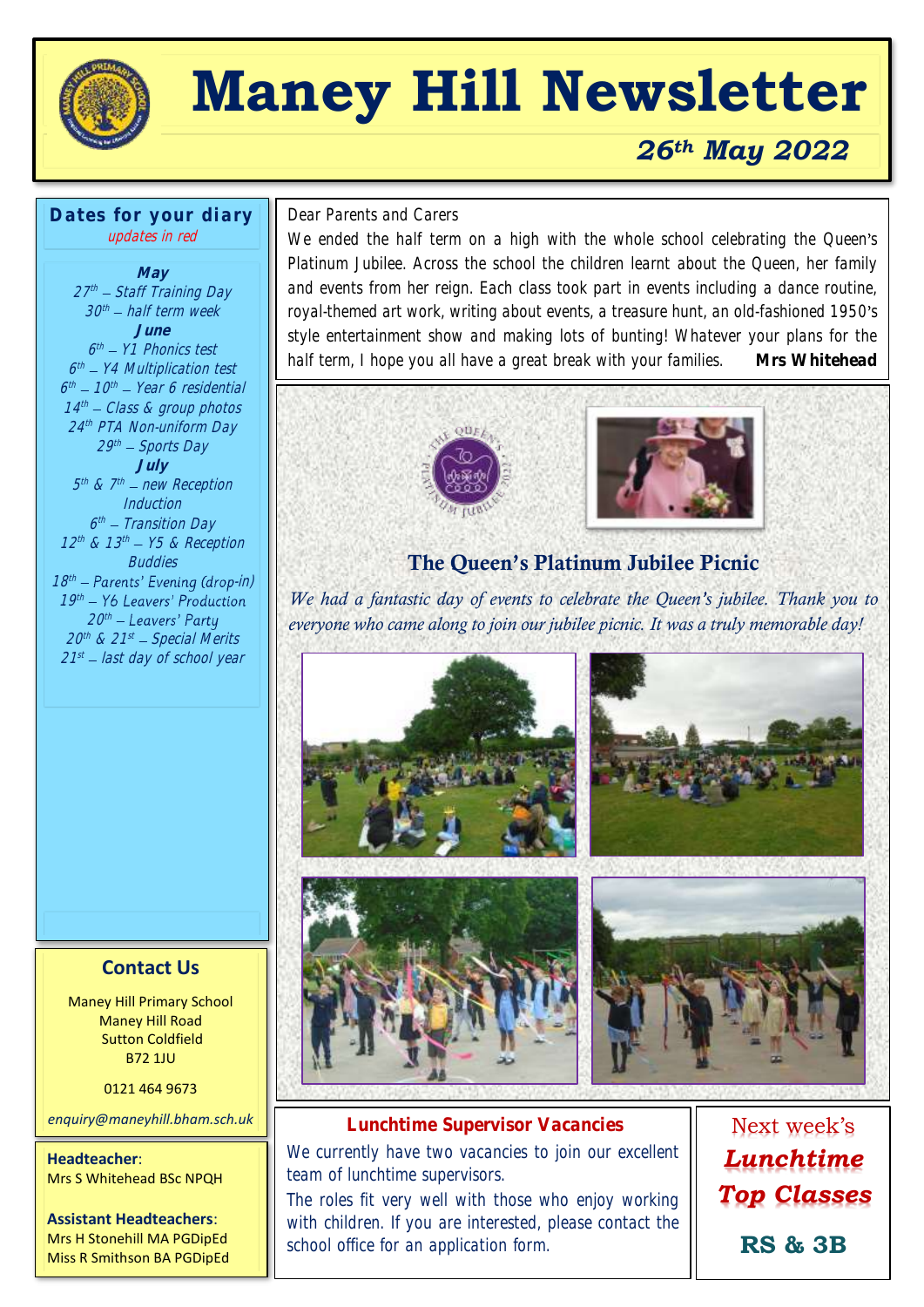

# **Maney Hill Newsletter**

## *26th May 2022*

#### **Dates for your diary** updates in red

**May** 27th – Staff Training Day 30th — half term week l **June** 6 th Y1 Phonics test 6<sup>th</sup> – Y4 Multiplication test 6<sup>th</sup> – 10<sup>th</sup> – Year 6 residential 14 th Class & group photos 24 th PTA Non-uniform Day 29th – Sports Day **July** 5<sup>th</sup> & 7<sup>th</sup> — new Reception Induction 6th – Transition Day  $12<sup>th</sup>$  &  $13<sup>th</sup>$  – Y5 & Reception **Buddies** 18<sup>th</sup> – Parents' Evening (drop-in)  $19<sup>th</sup>$ 20th  $\,$ 20th & 21st — Special Merits I 21<sup>st</sup> – last day of school year

# $\overline{a}$ Dear Parents and Carers

We ended the half term on a high with the whole school celebrating the Queen's Platinum Jubilee. Across the school the children learnt about the Queen, her family and events from her reign. Each class took part in events including a dance routine, royal-themed art work, writing about events, a treasure hunt, an old-fashioned 1950's style entertainment show and making lots of bunting! Whatever your plans for the half term, I hope you all have a great break with your families. **Mrs Whitehead**





## The Queen's Platinum Jubilee Picnic

*We had a fantastic day of events to celebrate the Queen's jubilee. Thank you to everyone who came along to join our jubilee picnic. It was a truly memorable day!*



**Lunchtime Supervisor Vacancies** We currently have two vacancies to join our excellent

team of lunchtime supervisors.

The roles fit very well with those who enjoy working with children. If you are interested, please contact the school office for an application form.

Next week's *Lunchtime Top Classes* **RS & 3B**

#### **Contact Us**

Maney Hill Primary School Maney Hill Road Sutton Coldfield B72 1JU

0121 464 9673

*enquiry@maneyhill.bham.sch.uk*

**Headteacher**: Mrs S Whitehead BSc NPQH

**Assistant Headteachers**: Mrs H Stonehill MA PGDipEd Miss R Smithson BA PGDipEd